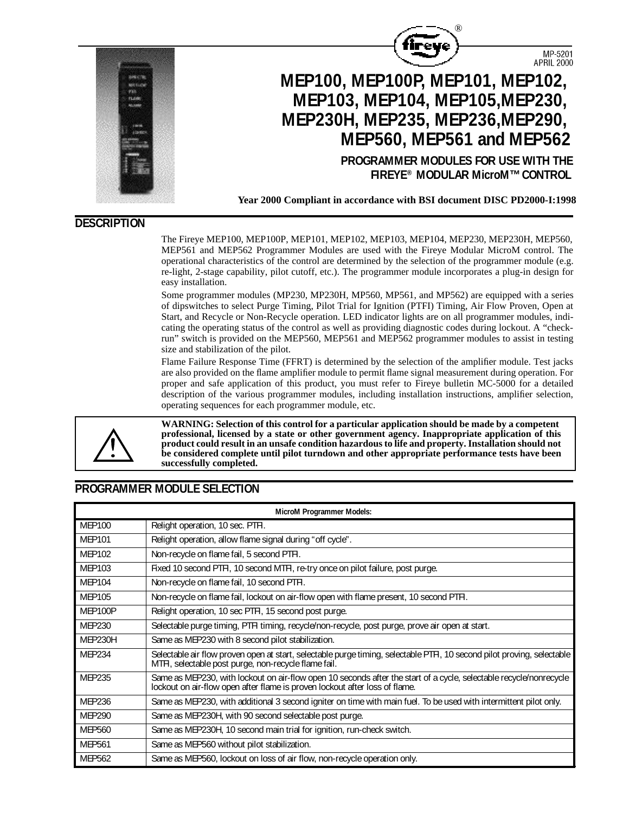

**Year 2000 Compliant in accordance with BSI document DISC PD2000-I:1998**

®

### **DESCRIPTION**

The Fireye MEP100, MEP100P, MEP101, MEP102, MEP103, MEP104, MEP230, MEP230H, MEP560, MEP561 and MEP562 Programmer Modules are used with the Fireye Modular MicroM control. The operational characteristics of the control are determined by the selection of the programmer module (e.g. re-light, 2-stage capability, pilot cutoff, etc.). The programmer module incorporates a plug-in design for easy installation.

Some programmer modules (MP230, MP230H, MP560, MP561, and MP562) are equipped with a series of dipswitches to select Purge Timing, Pilot Trial for Ignition (PTFI) Timing, Air Flow Proven, Open at Start, and Recycle or Non-Recycle operation. LED indicator lights are on all programmer modules, indicating the operating status of the control as well as providing diagnostic codes during lockout. A "checkrun" switch is provided on the MEP560, MEP561 and MEP562 programmer modules to assist in testing size and stabilization of the pilot.

Flame Failure Response Time (FFRT) is determined by the selection of the amplifier module. Test jacks are also provided on the flame amplifier module to permit flame signal measurement during operation. For proper and safe application of this product, you must refer to Fireye bulletin MC-5000 for a detailed description of the various programmer modules, including installation instructions, amplifier selection, operating sequences for each programmer module, etc.



**WARNING: Selection of this control for a particular application should be made by a competent professional, licensed by a state or other government agency. Inappropriate application of this product could result in an unsafe condition hazardous to life and property. Installation should not be considered complete until pilot turndown and other appropriate performance tests have been successfully completed.**

# **PROGRAMMER MODULE SELECTION**

| <b>MicroM Programmer Models:</b> |                                                                                                                                                                                                   |  |  |  |  |  |  |
|----------------------------------|---------------------------------------------------------------------------------------------------------------------------------------------------------------------------------------------------|--|--|--|--|--|--|
| <b>MEP100</b>                    | Relight operation, 10 sec. PTFI.                                                                                                                                                                  |  |  |  |  |  |  |
| <b>MEP101</b>                    | Relight operation, allow flame signal during "off cycle".                                                                                                                                         |  |  |  |  |  |  |
| <b>MEP102</b>                    | Non-recycle on flame fail, 5 second PTFI.                                                                                                                                                         |  |  |  |  |  |  |
| MEP103                           | Fixed 10 second PTFI, 10 second MTFI, re-try once on pilot failure, post purge.                                                                                                                   |  |  |  |  |  |  |
| <b>MEP104</b>                    | Non-recycle on flame fail, 10 second PTFI.                                                                                                                                                        |  |  |  |  |  |  |
| <b>MEP105</b>                    | Non-recycle on flame fail, lockout on air-flow open with flame present, 10 second PTFI.                                                                                                           |  |  |  |  |  |  |
| MEP100P                          | Relight operation, 10 sec PTFI, 15 second post purge.                                                                                                                                             |  |  |  |  |  |  |
| <b>MEP230</b>                    | Selectable purge timing, PTFI timing, recycle/non-recycle, post purge, prove air open at start.                                                                                                   |  |  |  |  |  |  |
| MEP230H                          | Same as MEP230 with 8 second pilot stabilization.                                                                                                                                                 |  |  |  |  |  |  |
| MEP234                           | Selectable air flow proven open at start, selectable purge timing, selectable PTFI, 10 second pilot proving, selectable<br>MTFI, selectable post purge, non-recycle flame fail.                   |  |  |  |  |  |  |
| <b>MEP235</b>                    | Same as MEP230, with lockout on air-flow open 10 seconds after the start of a cycle, selectable recycle/nonrecycle<br>lockout on air-flow open after flame is proven lockout after loss of flame. |  |  |  |  |  |  |
| MEP236                           | Same as MEP230, with additional 3 second igniter on time with main fuel. To be used with intermittent pilot only.                                                                                 |  |  |  |  |  |  |
| <b>MEP290</b>                    | Same as MEP230H, with 90 second selectable post purge.                                                                                                                                            |  |  |  |  |  |  |
| <b>MEP560</b>                    | Same as MEP230H, 10 second main trial for ignition, run-check switch.                                                                                                                             |  |  |  |  |  |  |
| <b>MEP561</b>                    | Same as MEP560 without pilot stabilization.                                                                                                                                                       |  |  |  |  |  |  |
| <b>MEP562</b>                    | Same as MEP560, lockout on loss of air flow, non-recycle operation only.                                                                                                                          |  |  |  |  |  |  |